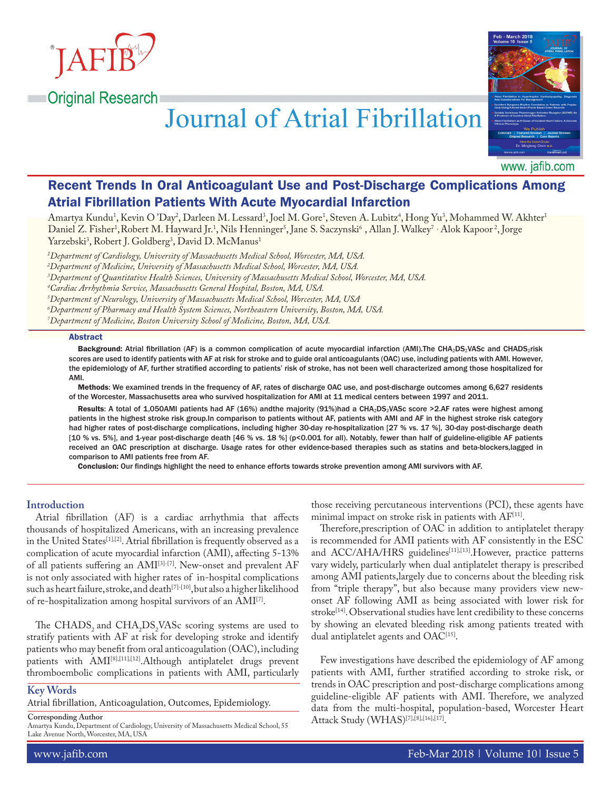

**Original Research** 

# **Journal of Atrial Fibrillation**



www. jafib.com

# Recent Trends In Oral Anticoagulant Use and Post-Discharge Complications Among Atrial Fibrillation Patients With Acute Myocardial Infarction

Amartya Kundu<sup>1</sup>, Kevin O'Day<sup>2</sup>, Darleen M. Lessard<sup>3</sup>, Joel M. Gore<sup>1</sup>, Steven A. Lubitz<sup>4</sup>, Hong Yu<sup>3</sup>, Mohammed W. Akhter<sup>1</sup> Daniel Z. Fisher<sup>1</sup>,Robert M. Hayward Jr.<sup>1</sup>, Nils Henninger<sup>s</sup>, Jane S. Saczynski<sup>6</sup> , Allan J. Walkey<sup>7 ,</sup> Alok Kapoor<sup>2</sup>, Jorge Yarzebski<sup>3</sup>, Robert J. Goldberg<sup>3</sup>, David D. McManus<sup>1</sup>

 *Department of Cardiology, University of Massachusetts Medical School, Worcester, MA, USA. Department of Medicine, University of Massachusetts Medical School, Worcester, MA, USA. Department of Quantitative Health Sciences, University of Massachusetts Medical School, Worcester, MA, USA. Cardiac Arrhythmia Service, Massachusetts General Hospital, Boston, MA, USA. Department of Neurology, University of Massachusetts Medical School, Worcester, MA, USA. Department of Pharmacy and Health System Sciences, Northeastern University, Boston, MA, USA. Department of Medicine, Boston University School of Medicine, Boston, MA, USA.*

#### Abstract

Background: Atrial fibrillation (AF) is a common complication of acute myocardial infarction (AMI).The CHA2DS2VASc and CHADS2risk scores are used to identify patients with AF at risk for stroke and to guide oral anticoagulants (OAC) use, including patients with AMI. However, the epidemiology of AF, further stratified according to patients' risk of stroke, has not been well characterized among those hospitalized for **AMI** 

Methods: We examined trends in the frequency of AF, rates of discharge OAC use, and post-discharge outcomes among 6,627 residents of the Worcester, Massachusetts area who survived hospitalization for AMI at 11 medical centers between 1997 and 2011.

Results: A total of 1,050AMI patients had AF (16%) andthe majority (91%)had a CHA<sub>2</sub>DS<sub>2</sub>VASc score >2.AF rates were highest among patients in the highest stroke risk group.In comparison to patients without AF, patients with AMI and AF in the highest stroke risk category had higher rates of post-discharge complications, including higher 30-day re-hospitalization [27 % vs. 17 %], 30-day post-discharge death [10 % vs. 5%], and 1-year post-discharge death [46 % vs. 18 %] (p<0.001 for all). Notably, fewer than half of guideline-eligible AF patients received an OAC prescription at discharge. Usage rates for other evidence-based therapies such as statins and beta-blockers,lagged in comparison to AMI patients free from AF.

Conclusion: Our findings highlight the need to enhance efforts towards stroke prevention among AMI survivors with AF.

# **Introduction**

Atrial fibrillation (AF) is a cardiac arrhythmia that affects thousands of hospitalized Americans, with an increasing prevalence in the United States<sup>[1],[2]</sup>. Atrial fibrillation is frequently observed as a complication of acute myocardial infarction (AMI), affecting 5-13% of all patients suffering an AMI[3]-[7]. New-onset and prevalent AF is not only associated with higher rates of in-hospital complications such as heart failure, stroke, and death<sup>[7]-[10]</sup>, but also a higher likelihood of re-hospitalization among hospital survivors of an AMI[7].

The CHADS<sub>2</sub> and CHA<sub>2</sub>DS<sub>2</sub>VASc scoring systems are used to stratify patients with AF at risk for developing stroke and identify patients who may benefit from oral anticoagulation (OAC), including patients with AMI[8],[11],[12].Although antiplatelet drugs prevent thromboembolic complications in patients with AMI, particularly

# **Key Words**

Atrial fibrillation, Anticoagulation, Outcomes, Epidemiology.

**Corresponding Author**

Amartya Kundu, Department of Cardiology, University of Massachusetts Medical School, 55 Lake Avenue North, Worcester, MA, USA

those receiving percutaneous interventions (PCI), these agents have minimal impact on stroke risk in patients with AF<sup>[11]</sup>.

Therefore,prescription of OAC in addition to antiplatelet therapy is recommended for AMI patients with AF consistently in the ESC and ACC/AHA/HRS guidelines<sup>[11],[13]</sup>. However, practice patterns vary widely, particularly when dual antiplatelet therapy is prescribed among AMI patients,largely due to concerns about the bleeding risk from "triple therapy", but also because many providers view newonset AF following AMI as being associated with lower risk for stroke<sup>[14]</sup>. Observational studies have lent credibility to these concerns by showing an elevated bleeding risk among patients treated with dual antiplatelet agents and OAC<sup>[15]</sup>.

Few investigations have described the epidemiology of AF among patients with AMI, further stratified according to stroke risk, or trends in OAC prescription and post-discharge complications among guideline-eligible AF patients with AMI. Therefore, we analyzed data from the multi-hospital, population-based, Worcester Heart Attack Study (WHAS)<sup>[7],[8],[16],[17]</sup>.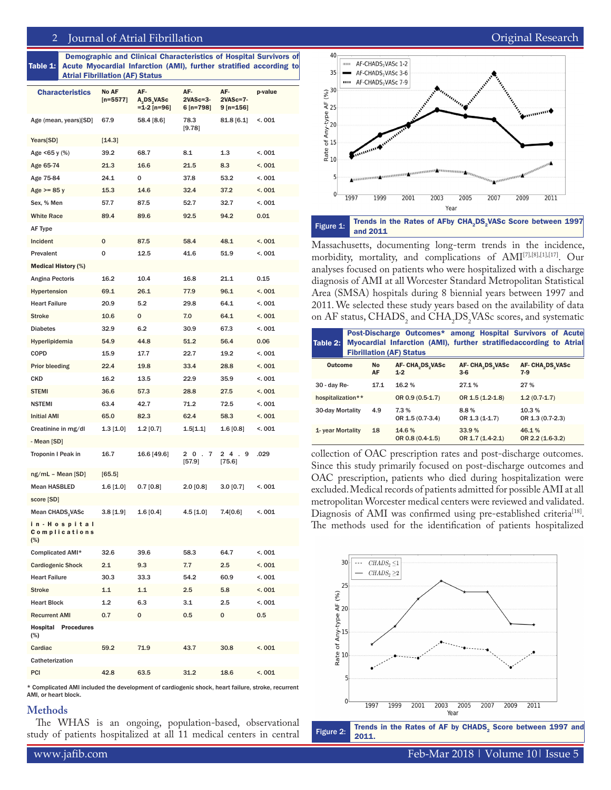Table 1: Demographic and Clinical Characteristics of Hospital Survivors of Acute Myocardial Infarction (AMI), further stratified according to Atrial Fibrillation (AF) Status

| <b>Characteristics</b>                   | <b>No AF</b><br>$[n=5577]$ | AF-<br>A <sub>2</sub> DS <sub>2</sub> VASc<br>$=$ 1-2 [n=96] | AF-<br>$2VASC = 3 -$<br>6 [n=798] | AF-<br>2VASc=7-<br>9 [n=156] | p-value |
|------------------------------------------|----------------------------|--------------------------------------------------------------|-----------------------------------|------------------------------|---------|
| Age (mean, years)[SD]                    | 67.9                       | 58.4 [8.6]                                                   | 78.3<br>[9.78]                    | 81.8 [6.1]                   | <.001   |
| Years[SD]                                | [14.3]                     |                                                              |                                   |                              |         |
| Age <65 y (%)                            | 39.2                       | 68.7                                                         | 8.1                               | 1.3                          | <.001   |
| Age 65-74                                | 21.3                       | 16.6                                                         | 21.5                              | 8.3                          | < 001   |
| Age 75-84                                | 24.1                       | 0                                                            | 37.8                              | 53.2                         | <.001   |
| Age $>= 85 y$                            | 15.3                       | 14.6                                                         | 32.4                              | 37.2                         | <.001   |
| Sex, % Men                               | 57.7                       | 87.5                                                         | 52.7                              | 32.7                         | <.001   |
| <b>White Race</b>                        | 89.4                       | 89.6                                                         | 92.5                              | 94.2                         | 0.01    |
| AF Type                                  |                            |                                                              |                                   |                              |         |
| Incident                                 | 0                          | 87.5                                                         | 58.4                              | 48.1                         | < 001   |
| Prevalent                                | 0                          | 12.5                                                         | 41.6                              | 51.9                         | <.001   |
| <b>Medical History (%)</b>               |                            |                                                              |                                   |                              |         |
| Angina Pectoris                          | 16.2                       | 10.4                                                         | 16.8                              | 21.1                         | 0.15    |
| Hypertension                             | 69.1                       | 26.1                                                         | 77.9                              | 96.1                         | < 001   |
| <b>Heart Failure</b>                     | 20.9                       | 5.2                                                          | 29.8                              | 64.1                         | <.001   |
| <b>Stroke</b>                            | 10.6                       | 0                                                            | 7.0                               | 64.1                         | <.001   |
| <b>Diabetes</b>                          | 32.9                       | 6.2                                                          | 30.9                              | 67.3                         | < 001   |
| Hyperlipidemia                           | 54.9                       | 44.8                                                         | 51.2                              | 56.4                         | 0.06    |
| COPD                                     | 15.9                       | 17.7                                                         | 22.7                              | 19.2                         | <.001   |
| <b>Prior bleeding</b>                    | 22.4                       | 19.8                                                         | 33.4                              | 28.8                         | < 001   |
| CKD                                      | 16.2                       | 13.5                                                         | 22.9                              | 35.9                         | < 001   |
| <b>STEMI</b>                             | 36.6                       | 57.3                                                         | 28.8                              | 27.5                         | < 001   |
| <b>NSTEMI</b>                            | 63.4                       | 42.7                                                         | 71.2                              | 72.5                         | <.001   |
| Initial AMI                              | 65.0                       | 82.3                                                         | 62.4                              | 58.3                         | < 001   |
| Creatinine in mg/dl                      | $1.3$ [1.0]                | $1.2$ [0.7]                                                  | 1.5[1.1]                          | 1.6[0.8]                     | <.001   |
| - Mean [SD]                              |                            |                                                              |                                   |                              |         |
| Troponin I Peak in                       | 16.7                       | 16.6 [49.6]                                                  | 20.<br>7<br>[57.9]                | 24.<br>9<br>[75.6]           | .029    |
| ng/mL - Mean [SD]                        | [65.5]                     |                                                              |                                   |                              |         |
| Mean HASBLED                             | 1.6 [1.0]                  | $0.7\,[0.8]$                                                 | $2.0$ [0.8]                       | 3.0 [0.7]                    | <.001   |
| score [SD]                               |                            |                                                              |                                   |                              |         |
| Mean CHADS <sub>2</sub> VASc             | 3.8[1.9]                   | 1.6[0.4]                                                     | 4.5[1.0]                          | 7.4[0.6]                     | <.001   |
| in - Hospital<br>Complications<br>$(\%)$ |                            |                                                              |                                   |                              |         |
| Complicated AMI*                         | 32.6                       | 39.6                                                         | 58.3                              | 64.7                         | < 001   |
| <b>Cardiogenic Shock</b>                 | 2.1                        | 9.3                                                          | 7.7                               | 2.5                          | < 001   |
| <b>Heart Failure</b>                     | 30.3                       | 33.3                                                         | 54.2                              | 60.9                         | < 001   |
| Stroke                                   | 1.1                        | $1.1$                                                        | $2.5\,$                           | 5.8                          | < 001   |
| <b>Heart Block</b>                       | 1.2                        | 6.3                                                          | 3.1                               | $2.5\,$                      | < 001   |
| <b>Recurrent AMI</b>                     | 0.7                        | 0                                                            | 0.5                               | 0                            | 0.5     |
| <b>Hospital Procedures</b><br>$(\%)$     |                            |                                                              |                                   |                              |         |
| Cardiac                                  | 59.2                       | 71.9                                                         | 43.7                              | 30.8                         | < 001   |
| Catheterization                          |                            |                                                              |                                   |                              |         |
| PCI                                      | 42.8                       | 63.5                                                         | 31.2                              | 18.6                         | < 001   |

\* Complicated AMI included the development of cardiogenic shock, heart failure, stroke, recurrent AMI, or heart block.

#### **Methods**

The WHAS is an ongoing, population-based, observational study of patients hospitalized at all 11 medical centers in central



Massachusetts, documenting long-term trends in the incidence, morbidity, mortality, and complications of AMI[7],[8],[1],[17]. Our analyses focused on patients who were hospitalized with a discharge diagnosis of AMI at all Worcester Standard Metropolitan Statistical Area (SMSA) hospitals during 8 biennial years between 1997 and 2011. We selected these study years based on the availability of data on AF status, CHADS<sub>2</sub> and CHA<sub>2</sub>DS<sub>2</sub>VASc scores, and systematic

| Table $2:$              | Post-Discharge Outcomes* among Hospital Survivors of Acute<br>Myocardial Infarction (AMI), further stratifiedaccording to Atrial<br><b>Fibrillation (AF) Status</b> |                 |                             |                           |                           |  |  |  |  |  |  |
|-------------------------|---------------------------------------------------------------------------------------------------------------------------------------------------------------------|-----------------|-----------------------------|---------------------------|---------------------------|--|--|--|--|--|--|
| <b>Outcome</b>          |                                                                                                                                                                     | <b>No</b><br>AF | AF-CHA, DS, VASc<br>$1 - 2$ | AF- CHA DS VASC<br>$3-6$  | AF-CHA DS VASc<br>$7-9$   |  |  |  |  |  |  |
| $30 - day$ Re-          |                                                                                                                                                                     | 17.1            | 16.2%                       | 27.1%                     | 27 %                      |  |  |  |  |  |  |
| hospitalization**       |                                                                                                                                                                     |                 | OR 0.9 (0.5-1.7)            | OR 1.5 (1.2-1.8)          | $1.2(0.7-1.7)$            |  |  |  |  |  |  |
| <b>30-day Mortality</b> |                                                                                                                                                                     | 4.9             | 7.3%<br>OR 1.5 (0.7-3.4)    | 8.8%<br>OR 1.3 (1-1.7)    | 10.3%<br>OR 1.3 (0.7-2.3) |  |  |  |  |  |  |
| 1- year Mortality       |                                                                                                                                                                     | 18              | 14.6%<br>OR 0.8 (0.4-1.5)   | 33.9%<br>OR 1.7 (1.4-2.1) | 46.1%<br>OR 2.2 (1.6-3.2) |  |  |  |  |  |  |

collection of OAC prescription rates and post-discharge outcomes. Since this study primarily focused on post-discharge outcomes and OAC prescription, patients who died during hospitalization were excluded. Medical records of patients admitted for possible AMI at all metropolitan Worcester medical centers were reviewed and validated. Diagnosis of AMI was confirmed using pre-established criteria<sup>[18]</sup>. The methods used for the identification of patients hospitalized



Figure 2: Trends in the Rates of AF by  $CHADS<sub>2</sub>$  Score between 1997 and 2011.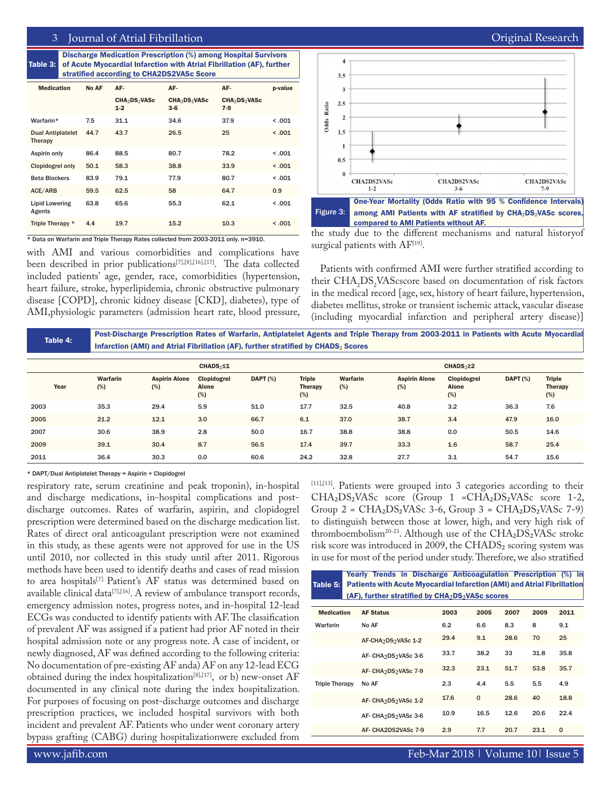# 3 Journal of Atrial Fibrillation **Contract Contract Contract Contract Contract Contract Contract Contract Contract Contract Contract Contract Contract Contract Contract Contract Contract Contract Contract Contract Contract**

Table 3: Discharge Medication Prescription (%) among Hospital Survivors of Acute Myocardial Infarction with Atrial Fibrillation (AF), further stratified according to CHA2DS2VASc Score

| <b>Medication</b>                   | No AF | AF-                                            | AF-                                            | AF-                                            | p-value |
|-------------------------------------|-------|------------------------------------------------|------------------------------------------------|------------------------------------------------|---------|
|                                     |       | CHA <sub>2</sub> DS <sub>2</sub> VASc<br>$1-2$ | CHA <sub>2</sub> DS <sub>2</sub> VASc<br>$3-6$ | CHA <sub>2</sub> DS <sub>2</sub> VASc<br>$7-9$ |         |
| Warfarin*                           | 7.5   | 31.1                                           | 34.6                                           | 37.9                                           | < 0.001 |
| <b>Dual Antiplatelet</b><br>Therapy | 44.7  | 43.7                                           | 26.5                                           | 25                                             | < .001  |
| Aspirin only                        | 86.4  | 88.5                                           | 80.7                                           | 78.2                                           | < 0.001 |
| <b>Clopidogrel only</b>             | 50.1  | 58.3                                           | 38.8                                           | 33.9                                           | < 0.001 |
| <b>Beta Blockers</b>                | 83.9  | 79.1                                           | 77.9                                           | 80.7                                           | < 0.001 |
| ACE/ARB                             | 59.5  | 62.5                                           | 58                                             | 64.7                                           | 0.9     |
| <b>Lipid Lowering</b><br>Agents     | 63.8  | 65.6                                           | 55.3                                           | 62.1                                           | < 0.001 |
| Triple Therapy *                    | 4.4   | 19.7                                           | 15.2                                           | 10.3                                           | < 0.001 |

\* Data on Warfarin and Triple Therapy Rates collected from 2003-2011 only. n=3910.

with AMI and various comorbidities and complications have been described in prior publications[7],[8],[16],[17]. The data collected included patients' age, gender, race, comorbidities (hypertension, heart failure, stroke, hyperlipidemia, chronic obstructive pulmonary disease [COPD], chronic kidney disease [CKD], diabetes), type of AMI,physiologic parameters (admission heart rate, blood pressure,



the study due to the different mechanisms and natural historyof surgical patients with AF<sup>[19]</sup>.

Patients with confirmed AMI were further stratified according to their  $CHA<sub>2</sub>DS<sub>2</sub> VAScscore$  based on documentation of risk factors in the medical record [age, sex, history of heart failure, hypertension, diabetes mellitus, stroke or transient ischemic attack, vascular disease (including myocardial infarction and peripheral artery disease)]

| Table 4: | Post-Discharge Prescription Rates of Warfarin, Antiplatelet Agents and Triple Therapy from 2003-2011 in Patients with Acute Myocardial<br>Infarction (AMI) and Atrial Fibrillation (AF), further stratified by CHADS <sub>2</sub> Scores |                             |                        |                 |                   |                 |                             |                      |                 |                                 |  |
|----------|------------------------------------------------------------------------------------------------------------------------------------------------------------------------------------------------------------------------------------------|-----------------------------|------------------------|-----------------|-------------------|-----------------|-----------------------------|----------------------|-----------------|---------------------------------|--|
|          |                                                                                                                                                                                                                                          |                             | CHADS <sub>2</sub> < 1 |                 |                   |                 |                             | CHADS <sub>2</sub> 2 |                 |                                 |  |
| Year     | <b>Warfarin</b><br>(%)                                                                                                                                                                                                                   | <b>Aspirin Alone</b><br>(%) | Clopidogrel<br>Alone   | <b>DAPT</b> (%) | Triple<br>Therapy | Warfarin<br>(%) | <b>Aspirin Alone</b><br>(%) | Clopidogrel<br>Alone | <b>DAPT (%)</b> | <b>Triple</b><br><b>Therapy</b> |  |

|      | Year | (%)  | (%)  | <b>Alone</b><br>(%) |      | <b>Therapy</b><br>(%) | (%)  | (%)  | Alone<br>(%) |      | <b>Therapy</b><br>(%) |
|------|------|------|------|---------------------|------|-----------------------|------|------|--------------|------|-----------------------|
| 2003 |      | 35.3 | 29.4 | 5.9                 | 51.0 | 17.7                  | 32.5 | 40.8 | 3.2          | 36.3 | 7.6                   |
| 2005 |      | 21.2 | 12.1 | 3.0                 | 66.7 | 6.1                   | 37.0 | 38.7 | 3.4          | 47.9 | 16.0                  |
| 2007 |      | 30.6 | 38.9 | 2.8                 | 50.0 | 16.7                  | 38.8 | 38.8 | 0.0          | 50.5 | 14.6                  |
| 2009 |      | 39.1 | 30.4 | 8.7                 | 56.5 | 17.4                  | 39.7 | 33.3 | 1.6          | 58.7 | 25.4                  |
| 2011 |      | 36.4 | 30.3 | 0.0                 | 60.6 | 24.2                  | 32.8 | 27.7 | 3.1          | 54.7 | 15.6                  |

\* DAPT/Dual Antiplatelet Therapy = Aspirin + Clopidogrel

respiratory rate, serum creatinine and peak troponin), in-hospital and discharge medications, in-hospital complications and postdischarge outcomes. Rates of warfarin, aspirin, and clopidogrel prescription were determined based on the discharge medication list. Rates of direct oral anticoagulant prescription were not examined in this study, as these agents were not approved for use in the US until 2010, nor collected in this study until after 2011. Rigorous methods have been used to identify deaths and cases of read mission to area hospitals[7]. Patient's AF status was determined based on available clinical data<sup>[7],[16]</sup>. A review of ambulance transport records, emergency admission notes, progress notes, and in-hospital 12-lead ECGs was conducted to identify patients with AF. The classification of prevalent AF was assigned if a patient had prior AF noted in their hospital admission note or any progress note. A case of incident, or newly diagnosed, AF was defined according to the following criteria: No documentation of pre-existing AF anda) AF on any 12-lead ECG obtained during the index hospitalization<sup>[8],[17]</sup>, or b) new-onset  $AF$ documented in any clinical note during the index hospitalization. For purposes of focusing on post-discharge outcomes and discharge prescription practices, we included hospital survivors with both incident and prevalent AF. Patients who under went coronary artery bypass grafting (CABG) during hospitalizationwere excluded from

[11],[13]. Patients were grouped into 3 categories according to their  $CHA<sub>2</sub>DS<sub>2</sub> VASc$  score (Group 1 = $CHA<sub>2</sub>DS<sub>2</sub> VASc$  score 1-2, Group  $2 = \text{CHA}_2\text{DS}_2\text{VASc}$  3-6, Group  $3 = \text{CHA}_2\text{DS}_2\text{VASc}$  7-9) to distinguish between those at lower, high, and very high risk of thromboembolism<sup>20-23</sup>. Although use of the CHA<sub>2</sub>DS<sub>2</sub>VASc stroke risk score was introduced in 2009, the CHADS₂ scoring system was in use for most of the period under study. Therefore, we also stratified

| Yearly Trends in Discharge Anticoagulation Prescription (%) in<br><b>Patients with Acute Myocardial Infarction (AMI) and Atrial Fibrillation</b><br>Table 5:<br>$(AF)$ , further stratified by $CHA2DS2 VASC scores$ |                                              |      |          |      |      |             |  |  |  |
|----------------------------------------------------------------------------------------------------------------------------------------------------------------------------------------------------------------------|----------------------------------------------|------|----------|------|------|-------------|--|--|--|
| <b>Medication</b>                                                                                                                                                                                                    | <b>AF Status</b>                             | 2003 | 2005     | 2007 | 2009 | 2011        |  |  |  |
| Warfarin                                                                                                                                                                                                             | No AF                                        | 6.2  | 6.6      | 8.3  | 8    | 9.1         |  |  |  |
|                                                                                                                                                                                                                      | AF-CHA <sub>2</sub> DS <sub>2</sub> VASc 1-2 | 29.4 | 9.1      | 28.6 | 70   | 25          |  |  |  |
|                                                                                                                                                                                                                      | AF-CHA2DS2VASc 3-6                           | 33.7 | 38.2     | 33   | 31.8 | 35.8        |  |  |  |
|                                                                                                                                                                                                                      | AF-CHA2DS2VASc 7-9                           | 32.3 | 23.1     | 51.7 | 53.8 | 35.7        |  |  |  |
| <b>Triple Therapy</b>                                                                                                                                                                                                | No AF                                        | 2.3  | 4.4      | 5.5  | 5.5  | 4.9         |  |  |  |
|                                                                                                                                                                                                                      | AF-CHA2DS2VASc 1-2                           | 17.6 | $\Omega$ | 28.6 | 40   | 18.8        |  |  |  |
|                                                                                                                                                                                                                      | AF-CHA2DS2VASc 3-6                           | 10.9 | 16.5     | 12.6 | 20.6 | 22.4        |  |  |  |
|                                                                                                                                                                                                                      | AF-CHA2DS2VASc 7-9                           | 2.9  | 7.7      | 20.7 | 23.1 | $\mathbf 0$ |  |  |  |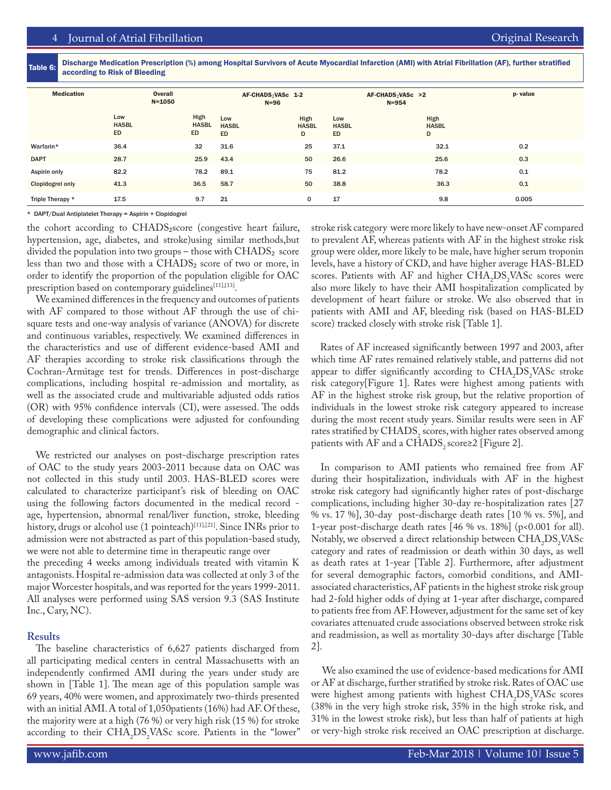Table 6: Discharge Medication Prescription (%) among Hospital Survivors of Acute Myocardial Infarction (AMI) with Atrial Fibrillation (AF), further stratified according to Risk of Bleeding

| <b>Medication</b>       | Overall<br>$N = 1050$     |                            | AF-CHADS <sub>2</sub> VASc 1-2<br>$N=96$ |                           | AF-CHADS <sub>2</sub> VASc >2<br>$N = 954$ |                           | p-value |
|-------------------------|---------------------------|----------------------------|------------------------------------------|---------------------------|--------------------------------------------|---------------------------|---------|
|                         | Low<br><b>HASBL</b><br>ED | High<br><b>HASBL</b><br>ED | Low<br><b>HASBL</b><br><b>ED</b>         | High<br><b>HASBL</b><br>D | Low<br><b>HASBL</b><br><b>ED</b>           | High<br><b>HASBL</b><br>D |         |
| Warfarin*               | 36.4                      | 32                         | 31.6                                     | 25                        | 37.1                                       | 32.1                      | 0.2     |
| <b>DAPT</b>             | 28.7                      | 25.9                       | 43.4                                     | 50                        | 26.6                                       | 25.6                      | 0.3     |
| Aspirin only            | 82.2                      | 78.2                       | 89.1                                     | 75                        | 81.2                                       | 78.2                      | 0.1     |
| <b>Clopidogrel only</b> | 41.3                      | 36.5                       | 58.7                                     | 50                        | 38.8                                       | 36.3                      | 0.1     |
| Triple Therapy *        | 17.5                      | 9.7                        | 21                                       | 0                         | 17                                         | 9.8                       | 0.005   |

\* DAPT/Dual Antiplatelet Therapy = Aspirin + Clopidogrel

the cohort according to CHADS₂score (congestive heart failure, hypertension, age, diabetes, and stroke)using similar methods,but divided the population into two groups – those with  $\text{CHADS}_2$  score less than two and those with a CHADS₂ score of two or more, in order to identify the proportion of the population eligible for OAC prescription based on contemporary guidelines[11],[13].

We examined differences in the frequency and outcomes of patients with AF compared to those without AF through the use of chisquare tests and one-way analysis of variance (ANOVA) for discrete and continuous variables, respectively. We examined differences in the characteristics and use of different evidence-based AMI and AF therapies according to stroke risk classifications through the Cochran-Armitage test for trends. Differences in post-discharge complications, including hospital re-admission and mortality, as well as the associated crude and multivariable adjusted odds ratios (OR) with 95% confidence intervals (CI), were assessed. The odds of developing these complications were adjusted for confounding demographic and clinical factors.

We restricted our analyses on post-discharge prescription rates of OAC to the study years 2003-2011 because data on OAC was not collected in this study until 2003. HAS-BLED scores were calculated to characterize participant's risk of bleeding on OAC using the following factors documented in the medical record age, hypertension, abnormal renal/liver function, stroke, bleeding history, drugs or alcohol use (1 pointeach)<sup>[11],[21]</sup>. Since INRs prior to admission were not abstracted as part of this population-based study, we were not able to determine time in therapeutic range over the preceding 4 weeks among individuals treated with vitamin K antagonists. Hospital re-admission data was collected at only 3 of the major Worcester hospitals, and was reported for the years 1999-2011. All analyses were performed using SAS version 9.3 (SAS Institute Inc., Cary, NC).

# **Results**

The baseline characteristics of 6,627 patients discharged from all participating medical centers in central Massachusetts with an independently confirmed AMI during the years under study are shown in [Table 1]. The mean age of this population sample was 69 years, 40% were women, and approximately two-thirds presented with an initial AMI. A total of 1,050patients (16%) had AF. Of these, the majority were at a high (76 %) or very high risk (15 %) for stroke according to their  $CHA<sub>2</sub>DS<sub>2</sub> VASC score. Patients in the "lower"$  stroke risk category were more likely to have new-onset AF compared to prevalent AF, whereas patients with AF in the highest stroke risk group were older, more likely to be male, have higher serum troponin levels, have a history of CKD, and have higher average HAS-BLED scores. Patients with  $AF$  and higher  $CHA<sub>2</sub>DS<sub>2</sub> VASc$  scores were also more likely to have their AMI hospitalization complicated by development of heart failure or stroke. We also observed that in patients with AMI and AF, bleeding risk (based on HAS-BLED score) tracked closely with stroke risk [Table 1].

Rates of AF increased significantly between 1997 and 2003, after which time AF rates remained relatively stable, and patterns did not appear to differ significantly according to  $CHA<sub>2</sub>DS<sub>2</sub> VASC$  stroke risk category[Figure 1]. Rates were highest among patients with AF in the highest stroke risk group, but the relative proportion of individuals in the lowest stroke risk category appeared to increase during the most recent study years. Similar results were seen in AF rates stratified by  $\text{CHADS}_2$  scores, with higher rates observed among patients with AF and a CHADS, score≥2 [Figure 2].

 In comparison to AMI patients who remained free from AF during their hospitalization, individuals with AF in the highest stroke risk category had significantly higher rates of post-discharge complications, including higher 30-day re-hospitalization rates [27 % vs. 17 %], 30-day post-discharge death rates [10 % vs. 5%], and 1-year post-discharge death rates [46 % vs. 18%] (p<0.001 for all). Notably, we observed a direct relationship between  $CHA<sub>2</sub>DS<sub>2</sub> VASC$ category and rates of readmission or death within 30 days, as well as death rates at 1-year [Table 2]. Furthermore, after adjustment for several demographic factors, comorbid conditions, and AMIassociated characteristics, AF patients in the highest stroke risk group had 2-fold higher odds of dying at 1-year after discharge, compared to patients free from AF. However, adjustment for the same set of key covariates attenuated crude associations observed between stroke risk and readmission, as well as mortality 30-days after discharge [Table 2].

 We also examined the use of evidence-based medications for AMI or AF at discharge, further stratified by stroke risk. Rates of OAC use were highest among patients with highest  $CHA<sub>2</sub>DS<sub>2</sub> VASC$  scores (38% in the very high stroke risk, 35% in the high stroke risk, and 31% in the lowest stroke risk), but less than half of patients at high or very-high stroke risk received an OAC prescription at discharge.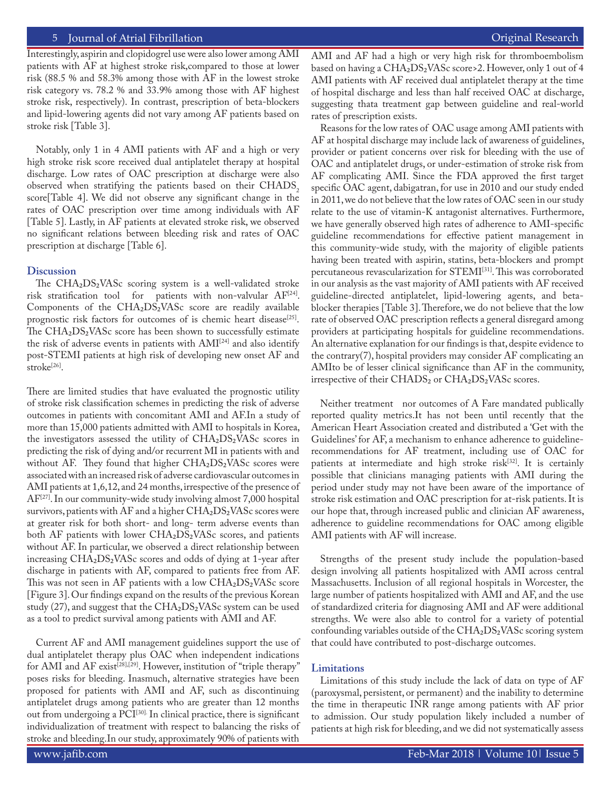Interestingly, aspirin and clopidogrel use were also lower among AMI patients with AF at highest stroke risk,compared to those at lower risk (88.5 % and 58.3% among those with AF in the lowest stroke risk category vs. 78.2 % and 33.9% among those with AF highest stroke risk, respectively). In contrast, prescription of beta-blockers and lipid-lowering agents did not vary among AF patients based on stroke risk [Table 3].

Notably, only 1 in 4 AMI patients with AF and a high or very high stroke risk score received dual antiplatelet therapy at hospital discharge. Low rates of OAC prescription at discharge were also observed when stratifying the patients based on their CHADS, score[Table 4]. We did not observe any significant change in the rates of OAC prescription over time among individuals with AF [Table 5]. Lastly, in AF patients at elevated stroke risk, we observed no significant relations between bleeding risk and rates of OAC prescription at discharge [Table 6].

#### **Discussion**

The  $CHA<sub>2</sub>DS<sub>2</sub> VASc$  scoring system is a well-validated stroke risk stratification tool for patients with non-valvular AF[24]. Components of the CHA2DS2VASc score are readily available prognostic risk factors for outcomes of is chemic heart disease<sup>[25]</sup>. The CHA2DS2VASc score has been shown to successfully estimate the risk of adverse events in patients with  $AMI^{[24]}$  and also identify post-STEMI patients at high risk of developing new onset AF and stroke<sup>[26]</sup>.

There are limited studies that have evaluated the prognostic utility of stroke risk classification schemes in predicting the risk of adverse outcomes in patients with concomitant AMI and AF.In a study of more than 15,000 patients admitted with AMI to hospitals in Korea, the investigators assessed the utility of  $CHA<sub>2</sub>DS<sub>2</sub> VASc$  scores in predicting the risk of dying and/or recurrent MI in patients with and without AF. They found that higher  $CHA<sub>2</sub>DS<sub>2</sub> VASc$  scores were associated with an increased risk of adverse cardiovascular outcomes in AMI patients at 1,6,12, and 24 months, irrespective of the presence of AF[27]. In our community-wide study involving almost 7,000 hospital survivors, patients with AF and a higher  $\text{CHA}_2\text{DS}_2\text{VASc}$  scores were at greater risk for both short- and long- term adverse events than both AF patients with lower  $CHA<sub>2</sub>DS<sub>2</sub> VASc$  scores, and patients without AF. In particular, we observed a direct relationship between increasing CHA₂DS₂VASc scores and odds of dying at 1-year after discharge in patients with AF, compared to patients free from AF. This was not seen in AF patients with a low  $CHA<sub>2</sub>DS<sub>2</sub> VASc$  score [Figure 3]. Our findings expand on the results of the previous Korean study (27), and suggest that the  $CHA<sub>2</sub>DS<sub>2</sub> VASc$  system can be used as a tool to predict survival among patients with AMI and AF.

Current AF and AMI management guidelines support the use of dual antiplatelet therapy plus OAC when independent indications for AMI and AF exist<sup>[28],[29]</sup>. However, institution of "triple therapy" poses risks for bleeding. Inasmuch, alternative strategies have been proposed for patients with AMI and AF, such as discontinuing antiplatelet drugs among patients who are greater than 12 months out from undergoing a PCI[30]. In clinical practice, there is significant individualization of treatment with respect to balancing the risks of stroke and bleeding.In our study, approximately 90% of patients with

AMI and AF had a high or very high risk for thromboembolism based on having a CHA2DS2VASc score>2. However, only 1 out of 4 AMI patients with AF received dual antiplatelet therapy at the time of hospital discharge and less than half received OAC at discharge, suggesting thata treatment gap between guideline and real-world rates of prescription exists.

Reasons for the low rates of OAC usage among AMI patients with AF at hospital discharge may include lack of awareness of guidelines, provider or patient concerns over risk for bleeding with the use of OAC and antiplatelet drugs, or under-estimation of stroke risk from AF complicating AMI. Since the FDA approved the first target specific OAC agent, dabigatran, for use in 2010 and our study ended in 2011, we do not believe that the low rates of OAC seen in our study relate to the use of vitamin-K antagonist alternatives. Furthermore, we have generally observed high rates of adherence to AMI-specific guideline recommendations for effective patient management in this community-wide study, with the majority of eligible patients having been treated with aspirin, statins, beta-blockers and prompt percutaneous revascularization for STEMI[31]. This was corroborated in our analysis as the vast majority of AMI patients with AF received guideline-directed antiplatelet, lipid-lowering agents, and betablocker therapies [Table 3]. Therefore, we do not believe that the low rate of observed OAC prescription reflects a general disregard among providers at participating hospitals for guideline recommendations. An alternative explanation for our findings is that, despite evidence to the contrary(7), hospital providers may consider AF complicating an AMIto be of lesser clinical significance than AF in the community, irrespective of their  $\text{CHADS}_2$  or  $\text{CHA}_2\text{DS}_2\text{VAS}$ c scores.

Neither treatment nor outcomes of A Fare mandated publically reported quality metrics.It has not been until recently that the American Heart Association created and distributed a 'Get with the Guidelines' for AF, a mechanism to enhance adherence to guidelinerecommendations for AF treatment, including use of OAC for patients at intermediate and high stroke risk $[32]$ . It is certainly possible that clinicians managing patients with AMI during the period under study may not have been aware of the importance of stroke risk estimation and OAC prescription for at-risk patients. It is our hope that, through increased public and clinician AF awareness, adherence to guideline recommendations for OAC among eligible AMI patients with AF will increase.

Strengths of the present study include the population-based design involving all patients hospitalized with AMI across central Massachusetts. Inclusion of all regional hospitals in Worcester, the large number of patients hospitalized with AMI and AF, and the use of standardized criteria for diagnosing AMI and AF were additional strengths. We were also able to control for a variety of potential confounding variables outside of the  $CHA<sub>2</sub>DS<sub>2</sub> VASc$  scoring system that could have contributed to post-discharge outcomes.

#### **Limitations**

Limitations of this study include the lack of data on type of AF (paroxysmal, persistent, or permanent) and the inability to determine the time in therapeutic INR range among patients with AF prior to admission. Our study population likely included a number of patients at high risk for bleeding, and we did not systematically assess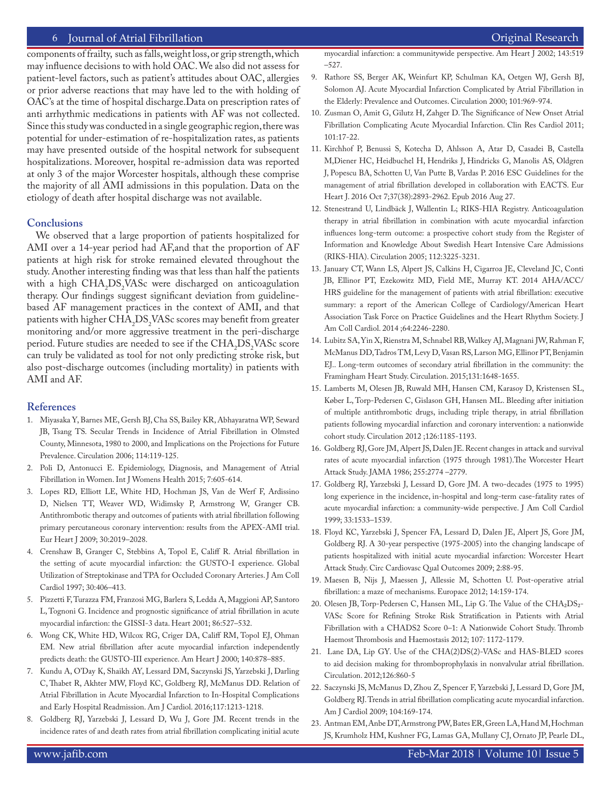components of frailty, such as falls, weight loss, or grip strength, which may influence decisions to with hold OAC. We also did not assess for patient-level factors, such as patient's attitudes about OAC, allergies or prior adverse reactions that may have led to the with holding of OAC's at the time of hospital discharge.Data on prescription rates of anti arrhythmic medications in patients with AF was not collected. Since this study was conducted in a single geographic region, there was potential for under-estimation of re-hospitalization rates, as patients may have presented outside of the hospital network for subsequent hospitalizations. Moreover, hospital re-admission data was reported at only 3 of the major Worcester hospitals, although these comprise the majority of all AMI admissions in this population. Data on the etiology of death after hospital discharge was not available.

## **Conclusions**

We observed that a large proportion of patients hospitalized for AMI over a 14-year period had AF,and that the proportion of AF patients at high risk for stroke remained elevated throughout the study. Another interesting finding was that less than half the patients with a high  $CHA<sub>2</sub>DS<sub>2</sub> VASC$  were discharged on anticoagulation therapy. Our findings suggest significant deviation from guidelinebased AF management practices in the context of AMI, and that patients with higher  $\text{CHA}_2\text{DS}_2$ VASc scores may benefit from greater monitoring and/or more aggressive treatment in the peri-discharge period. Future studies are needed to see if the  $\text{CHA}_2\text{DS}_2\text{VASc}$  score can truly be validated as tool for not only predicting stroke risk, but also post-discharge outcomes (including mortality) in patients with AMI and AF.

#### **References**

- 1. Miyasaka Y, Barnes ME, Gersh BJ, Cha SS, Bailey KR, Abhayaratna WP, Seward JB, Tsang TS. Secular Trends in Incidence of Atrial Fibrillation in Olmsted County, Minnesota, 1980 to 2000, and Implications on the Projections for Future Prevalence. Circulation 2006; 114:119-125.
- 2. Poli D, Antonucci E. Epidemiology, Diagnosis, and Management of Atrial Fibrillation in Women. Int J Womens Health 2015; 7:605-614.
- 3. Lopes RD, Elliott LE, White HD, Hochman JS, Van de Werf F, Ardissino D, Nielsen TT, Weaver WD, Widimsky P, Armstrong W, Granger CB. Antithrombotic therapy and outcomes of patients with atrial fibrillation following primary percutaneous coronary intervention: results from the APEX-AMI trial. Eur Heart J 2009; 30:2019–2028.
- 4. Crenshaw B, Granger C, Stebbins A, Topol E, Califf R. Atrial fibrillation in the setting of acute myocardial infarction: the GUSTO-I experience. Global Utilization of Streptokinase and TPA for Occluded Coronary Arteries. J Am Coll Cardiol 1997; 30:406–413.
- 5. Pizzetti F, Turazza FM, Franzosi MG, Barlera S, Ledda A, Maggioni AP, Santoro L, Tognoni G. Incidence and prognostic significance of atrial fibrillation in acute myocardial infarction: the GISSI-3 data. Heart 2001; 86:527–532.
- 6. Wong CK, White HD, Wilcox RG, Criger DA, Califf RM, Topol EJ, Ohman EM. New atrial fibrillation after acute myocardial infarction independently predicts death: the GUSTO-III experience. Am Heart J 2000; 140:878–885.
- 7. Kundu A, O'Day K, Shaikh AY, Lessard DM, Saczynski JS, Yarzebski J, Darling C, Thabet R, Akhter MW, Floyd KC, Goldberg RJ, McManus DD. Relation of Atrial Fibrillation in Acute Myocardial Infarction to In-Hospital Complications and Early Hospital Readmission. Am J Cardiol. 2016;117:1213-1218.
- 8. Goldberg RJ, Yarzebski J, Lessard D, Wu J, Gore JM. Recent trends in the incidence rates of and death rates from atrial fibrillation complicating initial acute

myocardial infarction: a communitywide perspective. Am Heart J 2002; 143:519 –527.

- 9. Rathore SS, Berger AK, Weinfurt KP, Schulman KA, Oetgen WJ, Gersh BJ, Solomon AJ. Acute Myocardial Infarction Complicated by Atrial Fibrillation in the Elderly: Prevalence and Outcomes. Circulation 2000; 101:969-974.
- 10. Zusman O, Amit G, Gilutz H, Zahger D. The Significance of New Onset Atrial Fibrillation Complicating Acute Myocardial Infarction. Clin Res Cardiol 2011; 101:17-22.
- 11. Kirchhof P, Benussi S, Kotecha D, Ahlsson A, Atar D, Casadei B, Castella M,Diener HC, Heidbuchel H, Hendriks J, Hindricks G, Manolis AS, Oldgren J, Popescu BA, Schotten U, Van Putte B, Vardas P. 2016 ESC Guidelines for the management of atrial fibrillation developed in collaboration with EACTS. Eur Heart J. 2016 Oct 7;37(38):2893-2962. Epub 2016 Aug 27.
- 12. Stenestrand U, Lindbäck J, Wallentin L; RIKS-HIA Registry. Anticoagulation therapy in atrial fibrillation in combination with acute myocardial infarction influences long-term outcome: a prospective cohort study from the Register of Information and Knowledge About Swedish Heart Intensive Care Admissions (RIKS-HIA). Circulation 2005; 112:3225-3231.
- 13. January CT, Wann LS, Alpert JS, Calkins H, Cigarroa JE, Cleveland JC, Conti JB, Ellinor PT, Ezekowitz MD, Field ME, Murray KT. 2014 AHA/ACC/ HRS guideline for the management of patients with atrial fibrillation: executive summary: a report of the American College of Cardiology/American Heart Association Task Force on Practice Guidelines and the Heart Rhythm Society. J Am Coll Cardiol. 2014 ;64:2246-2280.
- 14. Lubitz SA, Yin X, Rienstra M, Schnabel RB, Walkey AJ, Magnani JW, Rahman F, McManus DD, Tadros TM, Levy D, Vasan RS, Larson MG, Ellinor PT, Benjamin EJ.. Long-term outcomes of secondary atrial fibrillation in the community: the Framingham Heart Study. Circulation. 2015;131:1648-1655.
- 15. Lamberts M, Olesen JB, Ruwald MH, Hansen CM, Karasoy D, Kristensen SL, Køber L, Torp-Pedersen C, Gislason GH, Hansen ML. Bleeding after initiation of multiple antithrombotic drugs, including triple therapy, in atrial fibrillation patients following myocardial infarction and coronary intervention: a nationwide cohort study. Circulation 2012 ;126:1185-1193.
- 16. Goldberg RJ, Gore JM, Alpert JS, Dalen JE. Recent changes in attack and survival rates of acute myocardial infarction (1975 through 1981).The Worcester Heart Attack Study. JAMA 1986; 255:2774 –2779.
- 17. Goldberg RJ, Yarzebski J, Lessard D, Gore JM. A two-decades (1975 to 1995) long experience in the incidence, in-hospital and long-term case-fatality rates of acute myocardial infarction: a community-wide perspective. J Am Coll Cardiol 1999; 33:1533–1539.
- 18. Floyd KC, Yarzebski J, Spencer FA, Lessard D, Dalen JE, Alpert JS, Gore JM, Goldberg RJ. A 30-year perspective (1975-2005) into the changing landscape of patients hospitalized with initial acute myocardial infarction: Worcester Heart Attack Study. Circ Cardiovasc Qual Outcomes 2009; 2:88-95.
- 19. Maesen B, Nijs J, Maessen J, Allessie M, Schotten U. Post-operative atrial fibrillation: a maze of mechanisms. Europace 2012; 14:159-174.
- 20. Olesen JB, Torp-Pedersen C, Hansen ML, Lip G. The Value of the CHA₂DS₂- VASc Score for Refining Stroke Risk Stratification in Patients with Atrial Fibrillation with a CHADS2 Score 0–1: A Nationwide Cohort Study. Thromb Haemost Thrombosis and Haemostasis 2012; 107: 1172-1179.
- 21. Lane DA, Lip GY. Use of the CHA(2)DS(2)-VASc and HAS-BLED scores to aid decision making for thromboprophylaxis in nonvalvular atrial fibrillation. Circulation. 2012;126:860-5
- 22. Saczynski JS, McManus D, Zhou Z, Spencer F, Yarzebski J, Lessard D, Gore JM, Goldberg RJ. Trends in atrial fibrillation complicating acute myocardial infarction. Am J Cardiol 2009; 104:169-174.
- 23. Antman EM, Anbe DT, Armstrong PW, Bates ER, Green LA, Hand M, Hochman JS, Krumholz HM, Kushner FG, Lamas GA, Mullany CJ, Ornato JP, Pearle DL,